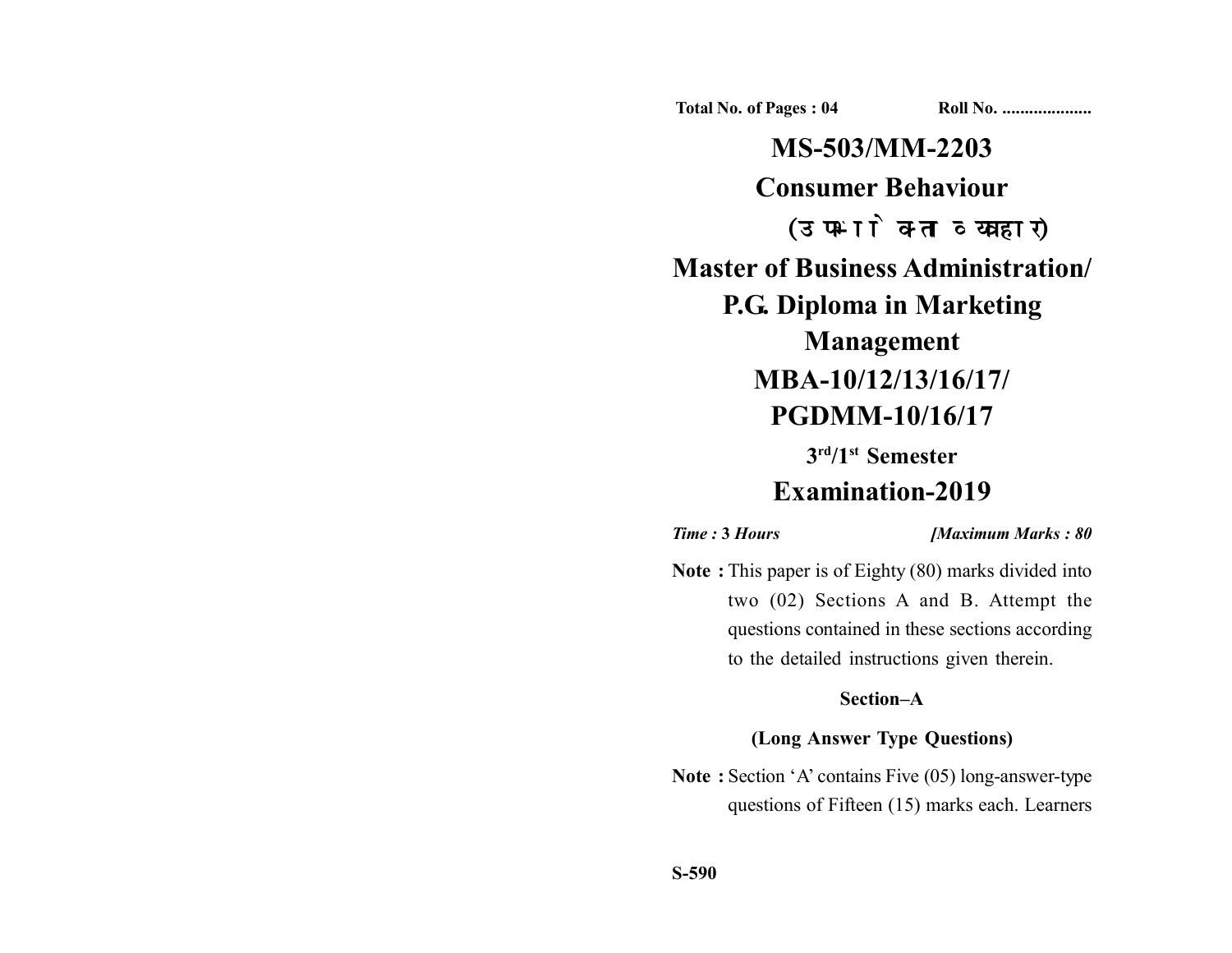**Total No. of Pages : 04 Roll No. ...................** 

**MS-503/MM-2203 Consumer Behaviour** (उपभोक्ता व्यवहार) **Master of Business Administration/ P.G. Diploma in Marketing Management MBA-10/12/13/16/17/ PGDMM-10/16/17**

**3rd/1st Semester**

# **Examination-2019**

*Time :* **3** *Hours [Maximum Marks : 80*

**Note :** This paper is of Eighty (80) marks divided into two (02) Sections A and B. Attempt the questions contained in these sections according to the detailed instructions given therein.

## **Section–A**

### **(Long Answer Type Questions)**

**Note :** Section 'A' contains Five (05) long-answer-type questions of Fifteen (15) marks each. Learners